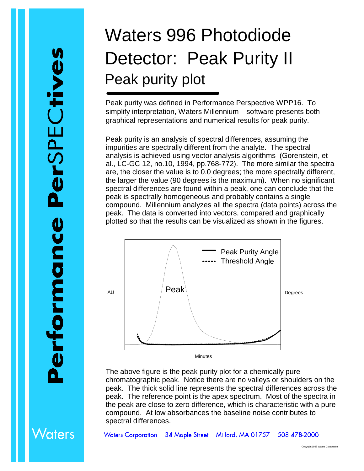/aters

## Waters 996 Photodiode Detector: Peak Purity II Peak purity plot

Peak purity was defined in Performance Perspective WPP16. To simplify interpretation, Waters Millennium<sup>®</sup> software presents both graphical representations and numerical results for peak purity.

Peak purity is an analysis of spectral differences, assuming the impurities are spectrally different from the analyte. The spectral analysis is achieved using vector analysis algorithms (Gorenstein, et al., LC-GC 12, no.10, 1994, pp.768-772). The more similar the spectra are, the closer the value is to 0.0 degrees; the more spectrally different, the larger the value (90 degrees is the maximum). When no significant spectral differences are found within a peak, one can conclude that the peak is spectrally homogeneous and probably contains a single compound. Millennium analyzes all the spectra (data points) across the peak. The data is converted into vectors, compared and graphically plotted so that the results can be visualized as shown in the figures.



The above figure is the peak purity plot for a chemically pure chromatographic peak. Notice there are no valleys or shoulders on the peak. The thick solid line represents the spectral differences across the peak. The reference point is the apex spectrum. Most of the spectra in the peak are close to zero difference, which is characteristic with a pure compound. At low absorbances the baseline noise contributes to spectral differences.

Waters Corporation 34 Maple Street Milford, MA 01757 508 478-2000